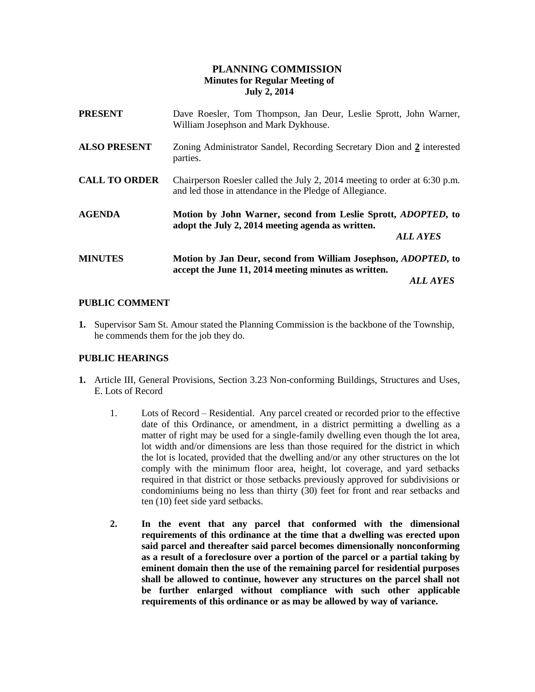# **PLANNING COMMISSION Minutes for Regular Meeting of July 2, 2014**

| <b>PRESENT</b>       | Dave Roesler, Tom Thompson, Jan Deur, Leslie Sprott, John Warner,<br>William Josephson and Mark Dykhouse.                                     |
|----------------------|-----------------------------------------------------------------------------------------------------------------------------------------------|
| <b>ALSO PRESENT</b>  | Zoning Administrator Sandel, Recording Secretary Dion and 2 interested<br>parties.                                                            |
| <b>CALL TO ORDER</b> | Chairperson Roesler called the July 2, 2014 meeting to order at 6:30 p.m.<br>and led those in attendance in the Pledge of Allegiance.         |
| <b>AGENDA</b>        | Motion by John Warner, second from Leslie Sprott, <i>ADOPTED</i> , to<br>adopt the July 2, 2014 meeting agenda as written.<br><b>ALL AYES</b> |
| <b>MINUTES</b>       | Motion by Jan Deur, second from William Josephson, <i>ADOPTED</i> , to<br>accept the June 11, 2014 meeting minutes as written.                |
|                      | <i>ALL AYES</i>                                                                                                                               |

# **PUBLIC COMMENT**

**1.** Supervisor Sam St. Amour stated the Planning Commission is the backbone of the Township, he commends them for the job they do.

## **PUBLIC HEARINGS**

- **1.** Article III, General Provisions, Section 3.23 Non-conforming Buildings, Structures and Uses, E. Lots of Record
	- 1. Lots of Record Residential. Any parcel created or recorded prior to the effective date of this Ordinance, or amendment, in a district permitting a dwelling as a matter of right may be used for a single-family dwelling even though the lot area, lot width and/or dimensions are less than those required for the district in which the lot is located, provided that the dwelling and/or any other structures on the lot comply with the minimum floor area, height, lot coverage, and yard setbacks required in that district or those setbacks previously approved for subdivisions or condominiums being no less than thirty (30) feet for front and rear setbacks and ten (10) feet side yard setbacks.
	- **2. In the event that any parcel that conformed with the dimensional requirements of this ordinance at the time that a dwelling was erected upon said parcel and thereafter said parcel becomes dimensionally nonconforming as a result of a foreclosure over a portion of the parcel or a partial taking by eminent domain then the use of the remaining parcel for residential purposes shall be allowed to continue, however any structures on the parcel shall not be further enlarged without compliance with such other applicable requirements of this ordinance or as may be allowed by way of variance.**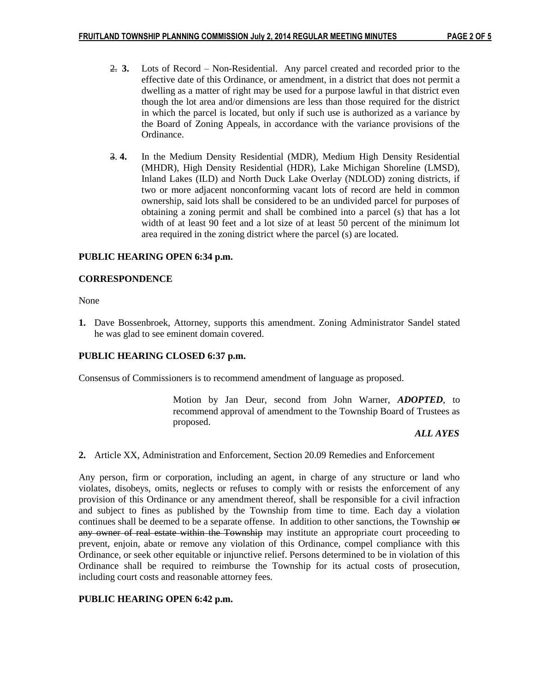- 2. **3.** Lots of Record Non-Residential. Any parcel created and recorded prior to the effective date of this Ordinance, or amendment, in a district that does not permit a dwelling as a matter of right may be used for a purpose lawful in that district even though the lot area and/or dimensions are less than those required for the district in which the parcel is located, but only if such use is authorized as a variance by the Board of Zoning Appeals, in accordance with the variance provisions of the Ordinance.
- 3. **4.** In the Medium Density Residential (MDR), Medium High Density Residential (MHDR), High Density Residential (HDR), Lake Michigan Shoreline (LMSD), Inland Lakes (ILD) and North Duck Lake Overlay (NDLOD) zoning districts, if two or more adjacent nonconforming vacant lots of record are held in common ownership, said lots shall be considered to be an undivided parcel for purposes of obtaining a zoning permit and shall be combined into a parcel (s) that has a lot width of at least 90 feet and a lot size of at least 50 percent of the minimum lot area required in the zoning district where the parcel (s) are located.

### **PUBLIC HEARING OPEN 6:34 p.m.**

#### **CORRESPONDENCE**

None

**1.** Dave Bossenbroek, Attorney, supports this amendment. Zoning Administrator Sandel stated he was glad to see eminent domain covered.

# **PUBLIC HEARING CLOSED 6:37 p.m.**

Consensus of Commissioners is to recommend amendment of language as proposed.

Motion by Jan Deur, second from John Warner, *ADOPTED*, to recommend approval of amendment to the Township Board of Trustees as proposed.

#### *ALL AYES*

**2.** Article XX, Administration and Enforcement, Section 20.09 Remedies and Enforcement

Any person, firm or corporation, including an agent, in charge of any structure or land who violates, disobeys, omits, neglects or refuses to comply with or resists the enforcement of any provision of this Ordinance or any amendment thereof, shall be responsible for a civil infraction and subject to fines as published by the Township from time to time. Each day a violation continues shall be deemed to be a separate offense. In addition to other sanctions, the Township  $\Theta$ any owner of real estate within the Township may institute an appropriate court proceeding to prevent, enjoin, abate or remove any violation of this Ordinance, compel compliance with this Ordinance, or seek other equitable or injunctive relief. Persons determined to be in violation of this Ordinance shall be required to reimburse the Township for its actual costs of prosecution, including court costs and reasonable attorney fees.

#### **PUBLIC HEARING OPEN 6:42 p.m.**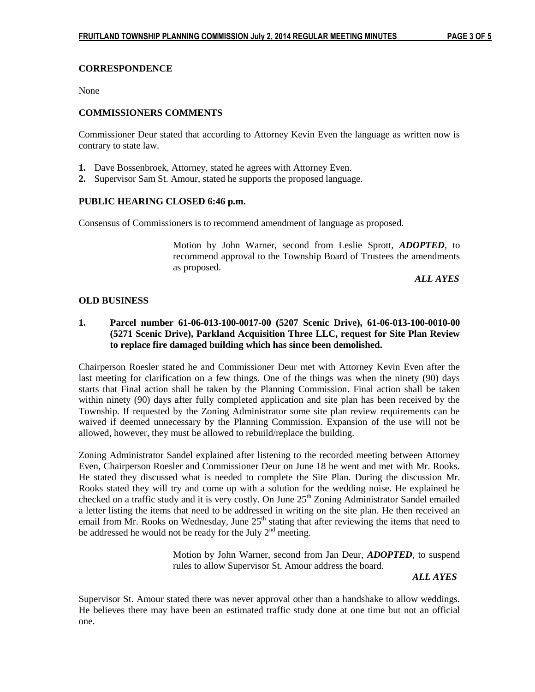### **CORRESPONDENCE**

None

### **COMMISSIONERS COMMENTS**

Commissioner Deur stated that according to Attorney Kevin Even the language as written now is contrary to state law.

- **1.** Dave Bossenbroek, Attorney, stated he agrees with Attorney Even.
- **2.** Supervisor Sam St. Amour, stated he supports the proposed language.

### **PUBLIC HEARING CLOSED 6:46 p.m.**

Consensus of Commissioners is to recommend amendment of language as proposed.

Motion by John Warner, second from Leslie Sprott, *ADOPTED*, to recommend approval to the Township Board of Trustees the amendments as proposed.

 *ALL AYES*

### **OLD BUSINESS**

## **1. Parcel number 61-06-013-100-0017-00 (5207 Scenic Drive), 61-06-013-100-0010-00 (5271 Scenic Drive), Parkland Acquisition Three LLC, request for Site Plan Review to replace fire damaged building which has since been demolished.**

Chairperson Roesler stated he and Commissioner Deur met with Attorney Kevin Even after the last meeting for clarification on a few things. One of the things was when the ninety (90) days starts that Final action shall be taken by the Planning Commission. Final action shall be taken within ninety (90) days after fully completed application and site plan has been received by the Township. If requested by the Zoning Administrator some site plan review requirements can be waived if deemed unnecessary by the Planning Commission. Expansion of the use will not be allowed, however, they must be allowed to rebuild/replace the building.

Zoning Administrator Sandel explained after listening to the recorded meeting between Attorney Even, Chairperson Roesler and Commissioner Deur on June 18 he went and met with Mr. Rooks. He stated they discussed what is needed to complete the Site Plan. During the discussion Mr. Rooks stated they will try and come up with a solution for the wedding noise. He explained he checked on a traffic study and it is very costly. On June 25<sup>th</sup> Zoning Administrator Sandel emailed a letter listing the items that need to be addressed in writing on the site plan. He then received an email from Mr. Rooks on Wednesday, June  $25<sup>th</sup>$  stating that after reviewing the items that need to be addressed he would not be ready for the July  $2<sup>nd</sup>$  meeting.

> Motion by John Warner, second from Jan Deur, *ADOPTED*, to suspend rules to allow Supervisor St. Amour address the board.

> > *ALL AYES*

Supervisor St. Amour stated there was never approval other than a handshake to allow weddings. He believes there may have been an estimated traffic study done at one time but not an official one.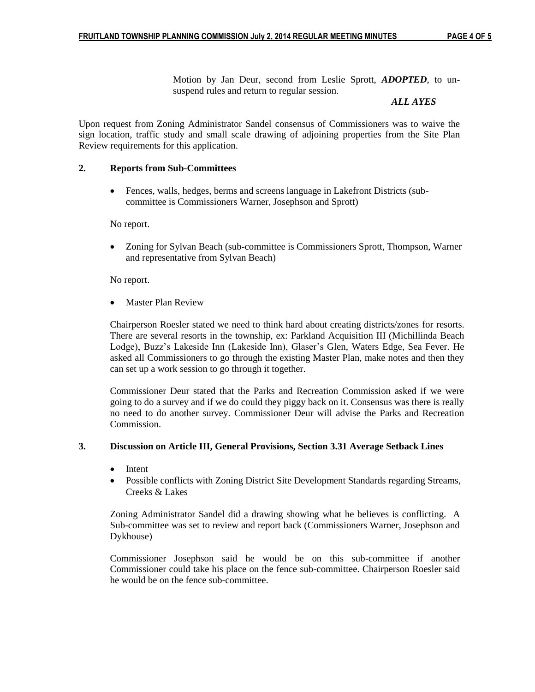Motion by Jan Deur, second from Leslie Sprott, *ADOPTED*, to unsuspend rules and return to regular session.

#### *ALL AYES*

Upon request from Zoning Administrator Sandel consensus of Commissioners was to waive the sign location, traffic study and small scale drawing of adjoining properties from the Site Plan Review requirements for this application.

### **2. Reports from Sub-Committees**

 Fences, walls, hedges, berms and screens language in Lakefront Districts (subcommittee is Commissioners Warner, Josephson and Sprott)

No report.

 Zoning for Sylvan Beach (sub-committee is Commissioners Sprott, Thompson, Warner and representative from Sylvan Beach)

No report.

Master Plan Review

Chairperson Roesler stated we need to think hard about creating districts/zones for resorts. There are several resorts in the township, ex: Parkland Acquisition III (Michillinda Beach Lodge), Buzz's Lakeside Inn (Lakeside Inn), Glaser's Glen, Waters Edge, Sea Fever. He asked all Commissioners to go through the existing Master Plan, make notes and then they can set up a work session to go through it together.

Commissioner Deur stated that the Parks and Recreation Commission asked if we were going to do a survey and if we do could they piggy back on it. Consensus was there is really no need to do another survey. Commissioner Deur will advise the Parks and Recreation Commission.

### **3. Discussion on Article III, General Provisions, Section 3.31 Average Setback Lines**

- Intent
- Possible conflicts with Zoning District Site Development Standards regarding Streams, Creeks & Lakes

Zoning Administrator Sandel did a drawing showing what he believes is conflicting. A Sub-committee was set to review and report back (Commissioners Warner, Josephson and Dykhouse)

Commissioner Josephson said he would be on this sub-committee if another Commissioner could take his place on the fence sub-committee. Chairperson Roesler said he would be on the fence sub-committee.